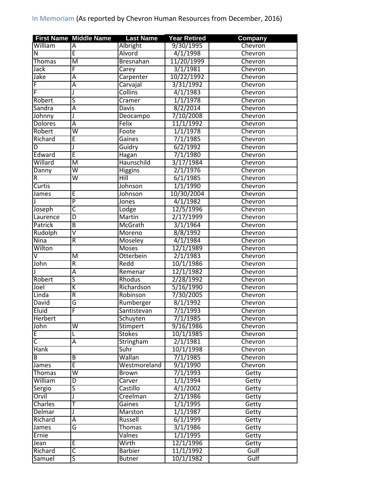|                         | <b>First Name Middle Name</b> | <b>Last Name</b> | <b>Year Retired</b> | Company |
|-------------------------|-------------------------------|------------------|---------------------|---------|
| William                 | $\overline{A}$                | Albright         | 9/30/1995           | Chevron |
| N                       | Ē                             | Alvord           | 4/1/1998            | Chevron |
| <b>Thomas</b>           | M                             | Bresnahan        | 11/20/1999          | Chevron |
| Jack                    | F                             | Carey            | 3/1/1981            | Chevron |
| Jake                    | Ā                             | Carpenter        | 10/22/1992          | Chevron |
| F                       | Ā                             | Carvajal         | 3/31/1992           | Chevron |
| F                       | J                             | <b>Collins</b>   | 4/1/1983            | Chevron |
| Robert                  | ς                             | Cramer           | 1/1/1978            | Chevron |
| Sandra                  | Ā                             | Davis            | 8/2/2014            | Chevron |
| Johnny                  | J                             | Deocampo         | 7/10/2008           | Chevron |
| <b>Dolores</b>          | Ā                             | Felix            | 11/1/1992           | Chevron |
| Robert                  | $\overline{\mathsf{W}}$       | Foote            | 1/1/1978            | Chevron |
| Richard                 | E                             | <b>Gaines</b>    | 7/1/1985            | Chevron |
| D                       | J                             | Guidry           | 6/2/1992            | Chevron |
| Edward                  | Ē                             |                  | 7/1/1980            | Chevron |
| Willard                 |                               | <b>Hagan</b>     |                     |         |
|                         | $\overline{\mathsf{M}}$       | Haunschild       | 3/17/1984           | Chevron |
| Danny                   | $\overline{\mathsf{w}}$       | <b>Higgins</b>   | 2/1/1976            | Chevron |
| R                       | $\overline{\mathsf{w}}$       | Hill             | 6/1/1985            | Chevron |
| <b>Curtis</b>           |                               | Johnson          | 1/1/1990            | Chevron |
| James                   | Ε                             | Johnson          | 10/30/2004          | Chevron |
|                         | $\overline{P}$                | Jones            | 4/1/1982            | Chevron |
| Joseph                  | $\overline{\mathsf{C}}$       | Lodge            | 12/5/1996           | Chevron |
| Laurence                | D                             | Martin           | 2/17/1999           | Chevron |
| Patrick                 | $\overline{B}$                | <b>McGrath</b>   | 3/1/1964            | Chevron |
| Rudolph                 | $\overline{\mathsf{v}}$       | Moreno           | 8/8/1992            | Chevron |
| <b>Nina</b>             | R                             | <b>Moseley</b>   | 4/1/1984            | Chevron |
| Wilton                  |                               | Moses            | 12/1/1989           | Chevron |
| $\overline{\mathsf{V}}$ | M                             | Otterbein        | 2/1/1983            | Chevron |
| John                    | $\overline{R}$                | Redd             | 10/1/1986           | Chevron |
|                         | Ā                             | Remenar          | 12/1/1982           | Chevron |
| Robert                  | ς                             | Rhodus           | 2/28/1992           | Chevron |
| Joel                    | K                             | Richardson       | 5/16/1990           | Chevron |
| Linda                   | $\overline{R}$                | Robinson         | 7/30/2005           | Chevron |
| David                   | G                             | Rumberger        | 8/1/1992            | Chevron |
| Eluid                   | F                             | Santistevan      | 7/1/1993            | Chevron |
| <b>Herbert</b>          |                               | Schuyten         | 7/1/1985            | Chevron |
| John                    | $\overline{\mathsf{w}}$       | <b>Stimpert</b>  | 9/16/1986           | Chevron |
| E                       | Г                             | <b>Stokes</b>    | 10/1/1985           | Chevron |
| C                       | Ā                             | Stringham        | 2/1/1981            | Chevron |
| <b>Hank</b>             |                               | Suhr             | 10/1/1998           | Chevron |
| B                       | $\overline{B}$                | Wallan           | 7/1/1985            | Chevron |
| James                   | E                             | Westmoreland     | 9/1/1990            | Chevron |
| <b>Thomas</b>           | $\overline{\mathsf{w}}$       | Brown            | 7/1/1993            | Getty   |
| William                 | $\overline{D}$                | Carver           | 1/1/1994            | Getty   |
| Sergio                  | ς                             | Castillo         | 4/1/2002            | Getty   |
| Orvil                   | J                             | Creelman         | 2/1/1986            | Getty   |
| Charles                 | T                             | Gaines           | 1/1/1995            | Getty   |
| Delmar                  | J                             | Marston          | 1/1/1987            |         |
|                         |                               |                  |                     | Getty   |
| Richard                 | Α<br>G                        | Russell          | 6/1/1999            | Getty   |
| James                   |                               | <b>Thomas</b>    | 3/1/1986            | Getty   |
| Ernie                   |                               | Valnes           | 1/1/1995            | Getty   |
| Jean                    | E                             | Wirth            | 12/1/1996           | Getty   |
| Richard                 | C                             | <b>Barbier</b>   | 11/1/1992           | Gulf    |
| Samuel                  | 5                             | <b>Butner</b>    | 10/1/1982           | Gulf    |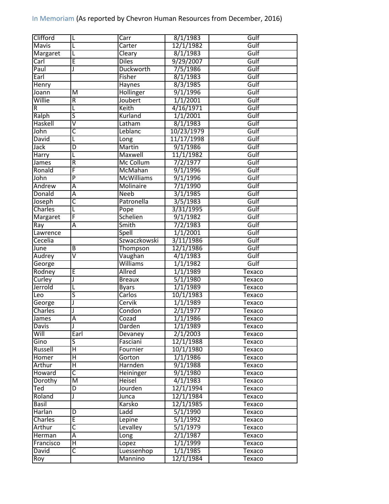| Clifford       |                         | Carr                | 8/1/1983   | Gulf             |
|----------------|-------------------------|---------------------|------------|------------------|
| Mavis          |                         | Carter              | 12/1/1982  | Gulf             |
| Margaret       | L                       | Cleary              | 8/1/1983   | Gulf             |
| Carl           | E                       | <b>Diles</b>        | 9/29/2007  | Gulf             |
| Paul           |                         | <b>Duckworth</b>    | 7/5/1986   | Gulf             |
| Earl           |                         | Fisher              | 8/1/1983   | Gulf             |
| Henry          |                         | <b>Haynes</b>       | 8/3/1985   | Gulf             |
| Joann          | $\overline{\mathsf{M}}$ | Hollinger           | 9/1/1996   | Gulf             |
| Willie         | R                       | Joubert             | 1/1/2001   | Gulf             |
| R              | L                       | Keith               | 4/16/1971  | Gulf             |
| Ralph          | $\overline{\mathsf{s}}$ | Kurland             | 1/1/2001   | Gulf             |
| Haskell        | $\overline{\mathsf{v}}$ | Latham              | 8/1/1983   | Gulf             |
| John           | C                       | Leblanc             | 10/23/1979 | Gulf             |
| <b>David</b>   | L                       | Long                | 11/17/1998 | Gulf             |
| Jack           | D                       | Martin              | 9/1/1986   | Gulf             |
| Harry          | L                       | Maxwell             | 11/1/1982  | Gulf             |
| James          | $\overline{\mathsf{R}}$ | Mc Collum           | 7/2/1977   | Gulf             |
| Ronald         | F                       | McMahan             | 9/1/1996   | Gulf             |
| John           | $\overline{P}$          | <b>McWilliams</b>   | 9/1/1996   | Gulf             |
| Andrew         | $\overline{A}$          | Molinaire           | 7/1/1990   | Gulf             |
| Donald         | $\overline{\mathsf{A}}$ | <b>Neeb</b>         | 3/1/1985   | Gulf             |
| Joseph         | $\overline{\mathsf{c}}$ | Patronella          | 3/5/1983   | Gulf             |
| Charles        |                         | Pope                | 3/31/1995  | Gulf             |
| Margaret       | F                       | Schelien            | 9/1/1982   | Gulf             |
| Ray            | Α                       | Smith               | 7/2/1983   | Gulf             |
| Lawrence       |                         | Spell               | 1/1/2001   | Gulf             |
| Cecelia        |                         | Szwaczkowski        | 3/11/1986  | Gulf             |
| June           | $\overline{B}$          | Thompson            | 12/1/1986  | Gulf             |
| Audrey         | $\overline{\mathsf{v}}$ | Vaughan             | 4/1/1983   | Gulf             |
| George         |                         | Williams            | 1/1/1982   | Gulf             |
| Rodney         | E                       | Allred              | 1/1/1989   | Texaco           |
| Curley         |                         | <b>Breaux</b>       | 5/1/1980   | <b>Texaco</b>    |
| Jerrold        | L                       | <b>Byars</b>        | 1/1/1989   | <b>Texaco</b>    |
| Leo            | $\overline{\mathsf{S}}$ | Carlos              | 10/1/1983  | Texaco           |
| George         |                         | Cervik              | 1/1/1989   | Texaco           |
| <b>Charles</b> |                         | Condon              | 2/1/1977   | Texaco           |
|                | Ā                       | Cozad               | 1/1/1986   |                  |
| James<br>Davis | J                       | Darden              | 1/1/1989   | Texaco           |
| Will           | Earl                    |                     | 2/1/2003   | Texaco           |
| Gino           | S                       | Devaney<br>Fasciani | 12/1/1988  | Texaco<br>Texaco |
| Russell        |                         |                     |            |                  |
|                | Η                       | Fournier            | 10/1/1980  | Texaco           |
| Homer          | $\overline{\mathsf{H}}$ | Gorton              | 1/1/1986   | Texaco           |
| Arthur         | Η                       | Harnden             | 9/1/1988   | Texaco           |
| Howard         | C                       | Heininger           | 9/1/1980   | Texaco           |
| Dorothy        | $\overline{\mathsf{M}}$ | <b>Heisel</b>       | 4/1/1983   | Texaco           |
| Ted            | D                       | Jourden             | 12/1/1994  | Texaco           |
| Roland         |                         | Junca               | 12/1/1984  | Texaco           |
| Basil          |                         | Karsko              | 12/1/1985  | Texaco           |
| Harlan         | D                       | Ladd                | 5/1/1990   | Texaco           |
| Charles        | Ē                       | Lepine              | 5/1/1992   | Texaco           |
| Arthur         | $\overline{\mathsf{c}}$ | Levalley            | 5/1/1979   | Texaco           |
| Herman         | Ā                       | Long                | 2/1/1987   | Texaco           |
| Francisco      | $\overline{\mathsf{H}}$ | Lopez               | 1/1/1999   | Texaco           |
| <b>David</b>   | $\overline{\mathsf{c}}$ | Luessenhop          | 1/1/1985   | Texaco           |
| Roy            |                         | Mannino             | 12/1/1984  | Texaco           |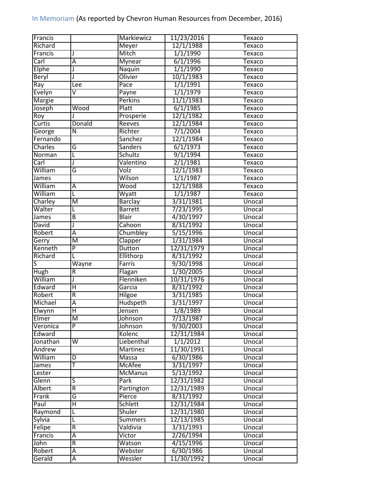| <b>Francis</b>          |                         | Markiewicz     | 11/23/2016 | Texaco        |
|-------------------------|-------------------------|----------------|------------|---------------|
| Richard                 |                         | Meyer          | 12/1/1988  | Texaco        |
| Francis                 | J                       | Mitch          | 1/1/1990   | <b>Texaco</b> |
| Carl                    | Ā                       | <b>Mynear</b>  | 6/1/1996   | <b>Texaco</b> |
| Elphe                   | J                       | Naquin         | 1/1/1990   | Texaco        |
| Beryl                   | J                       | Olivier        | 10/1/1983  | <b>Texaco</b> |
| $\overline{\text{Ray}}$ | Lee                     | Pace           | 1/1/1991   | <b>Texaco</b> |
| Evelyn                  | V                       | Payne          | 1/1/1979   | <b>Texaco</b> |
| <b>Margie</b>           |                         | <b>Perkins</b> | 11/1/1983  | <b>Texaco</b> |
| Joseph                  | Wood                    | Platt          | 6/1/1985   | Texaco        |
| Roy                     |                         | Prosperie      | 12/1/1982  | Texaco        |
| Curtis                  | Donald                  | Reeves         | 12/1/1984  | Texaco        |
| George                  | $\overline{\mathsf{N}}$ | Richter        | 7/1/2004   | Texaco        |
| Fernando                |                         | Sanchez        | 12/1/1984  | <b>Texaco</b> |
| Charles                 | G                       | <b>Sanders</b> | 6/1/1973   | <b>Texaco</b> |
| Norman                  | L                       | Schultz        | 9/1/1994   | Texaco        |
| Carl                    | J                       | Valentino      | 2/1/1981   | Texaco        |
| William                 | G                       | Volz           | 12/1/1983  | Texaco        |
| James                   |                         | Wilson         | 1/1/1987   | <b>Texaco</b> |
| William                 | A                       | Wood           | 12/1/1988  | Texaco        |
| William                 | L                       | Wyatt          | 1/1/1987   | Texaco        |
| Charley                 | M                       | <b>Barclay</b> | 3/31/1981  | Unocal        |
| Walter                  | L                       | <b>Barrett</b> | 7/23/1995  | Unocal        |
|                         | B                       | <b>Blair</b>   | 4/30/1997  | Unocal        |
| James<br>David          | J                       | Cahoon         | 8/31/1992  | Unocal        |
| Robert                  | Ā                       | Chumbley       | 5/15/1996  | Unocal        |
|                         | M                       |                | 1/31/1984  |               |
| Gerry                   |                         | Clapper        |            | Unocal        |
| Kenneth                 | $\overline{P}$          | Dutton         | 12/31/1979 | Unocal        |
| Richard                 | L                       | Ellithorp      | 8/31/1992  | Unocal        |
| S                       | Wayne                   | Farris         | 9/30/1998  | Unocal        |
| Hugh                    | $\overline{\mathsf{R}}$ | Flagan         | 1/30/2005  | Unocal        |
| William                 | J                       | Flenniken      | 10/31/1976 | Unocal        |
| Edward                  | $\overline{\mathsf{H}}$ | Garcia         | 8/31/1992  | Unocal        |
| Robert                  | $\overline{R}$          | Hilgoe         | 3/31/1985  | Unocal        |
| Michael                 | Ā                       | Hudspeth       | 3/31/1997  | Unocal        |
| Elwynn                  | $\overline{\mathsf{H}}$ | Jensen         | 1/8/1989   | Unocal        |
| Elmer                   | M                       | Johnson        | 7/13/1987  | Unocal        |
| Veronica                | $\overline{P}$          | Johnson        | 9/30/2003  | Unocal        |
| Edward                  |                         | Kolenc         | 12/31/1984 | Unocal        |
| Jonathan                | $\overline{\mathsf{W}}$ | Liebenthal     | 1/1/2012   | Unocal        |
| Andrew                  |                         | Martinez       | 11/30/1991 | Unocal        |
| William                 | D                       | Massa          | 6/30/1986  | Unocal        |
| James                   | т                       | McAfee         | 3/31/1997  | Unocal        |
| Lester                  |                         | <b>McManus</b> | 5/13/1992  | Unocal        |
| Glenn                   | S                       | Park           | 12/31/1982 | Unocal        |
| Albert                  | R                       | Partington     | 12/31/1989 | Unocal        |
| Frank                   | G                       | Pierce         | 8/31/1992  | Unocal        |
| Paul                    | Η                       | Schlett        | 12/31/1984 | Unocal        |
| Raymond                 | L                       | <b>Shuler</b>  | 12/31/1980 | Unocal        |
| Sylvia                  | L                       | Summers        | 12/13/1985 | Unocal        |
|                         |                         | Valdivia       | 3/31/1993  | Unocal        |
| Felipe                  | $\overline{R}$          |                |            |               |
| Francis                 | Ā                       | Victor         | 2/26/1994  | Unocal        |
| John                    | $\overline{R}$          | Watson         | 4/15/1996  | Unocal        |
| Robert                  | Ā                       | Webster        | 6/30/1986  | Unocal        |